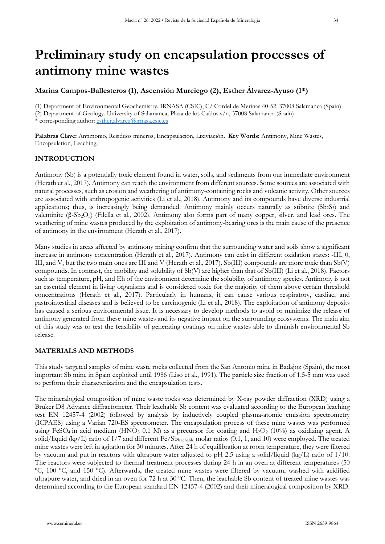# **Preliminary study on encapsulation processes of antimony mine wastes**

# **Marina Campos-Ballesteros (1), Ascensión Murciego (2), Esther Álvarez-Ayuso (1\*)**

(1) Department of Environmental Geochemistry. IRNASA (CSIC), C/ Cordel de Merinas 40-52, 37008 Salamanca (Spain) (2) Department of Geology. University of Salamanca, Plaza de los Caídos s/n, 37008 Salamanca (Spain) \* corresponding author: [esther.alvarez@irnasa.csic.es](mailto:esther.alvarez@irnasa.csic.es)

**Palabras Clave:** Antimonio, Residuos mineros, Encapsulación, Lixiviación. **Key Words:** Antimony, Mine Wastes, Encapsulation, Leaching.

## **INTRODUCTION**

Antimony (Sb) is a potentially toxic element found in water, soils, and sediments from our immediate environment (Herath et al., 2017). Antimony can reach the environment from different sources. Some sources are associated with natural processes, such as erosion and weathering of antimony-containing rocks and volcanic activity. Other sources are associated with anthropogenic activities (Li et al., 2018). Antimony and its compounds have diverse industrial applications; thus, is increasingly being demanded. Antimony mainly occurs naturally as stibnite  $(Sb<sub>2</sub>S<sub>3</sub>)$  and valentinite (β-Sb<sub>2</sub>O<sub>3</sub>) (Filella et al., 2002). Antimony also forms part of many copper, silver, and lead ores. The weathering of mine wastes produced by the exploitation of antimony-bearing ores is the main cause of the presence of antimony in the environment (Herath et al., 2017).

Many studies in areas affected by antimony mining confirm that the surrounding water and soils show a significant increase in antimony concentration (Herath et al., 2017). Antimony can exist in different oxidation states: -III, 0, III, and V, but the two main ones are III and V (Herath et al., 2017). Sb(III) compounds are more toxic than Sb(V) compounds. In contrast, the mobility and solubility of Sb(V) are higher than that of Sb(III) (Li et al., 2018). Factors such as temperature, pH, and Eh of the environment determine the solubility of antimony species. Antimony is not an essential element in living organisms and is considered toxic for the majority of them above certain threshold concentrations (Herath et al., 2017). Particularly in humans, it can cause various respiratory, cardiac, and gastrointestinal diseases and is believed to be carcinogenic (Li et al., 2018). The exploitation of antimony deposits has caused a serious environmental issue. It is necessary to develop methods to avoid or minimize the release of antimony generated from these mine wastes and its negative impact on the surrounding ecosystems. The main aim of this study was to test the feasibility of generating coatings on mine wastes able to diminish environmental Sb release.

### **MATERIALS AND METHODS**

This study targeted samples of mine waste rocks collected from the San Antonio mine in Badajoz (Spain), the most important Sb mine in Spain exploited until 1986 (Liso et al., 1991). The particle size fraction of 1.5-5 mm was used to perform their characterization and the encapsulation tests.

The mineralogical composition of mine waste rocks was determined by X-ray powder diffraction (XRD) using a Bruker D8 Advance diffractometer. Their leachable Sb content was evaluated according to the European leaching test EN 12457-4 (2002) followed by analysis by inductively coupled plasma-atomic emission spectrometry (ICPAES) using a Varian 720-ES spectrometer. The encapsulation process of these mine wastes was performed using FeSO<sub>4</sub> in acid medium (HNO<sub>3</sub> 0.1 M) as a precursor for coating and H<sub>2</sub>O<sub>2</sub> (10%) as oxidizing agent. A solid/liquid (kg/L) ratio of  $1/7$  and different Fe/Sbleachable molar ratios (0.1, 1, and 10) were employed. The treated mine wastes were left in agitation for 30 minutes. After 24 h of equilibration at room temperature, they were filtered by vacuum and put in reactors with ultrapure water adjusted to pH 2.5 using a solid/liquid (kg/L) ratio of 1/10. The reactors were subjected to thermal treatment processes during 24 h in an oven at different temperatures (50 ºC, 100 ºC, and 150 ºC). Afterwards, the treated mine wastes were filtered by vacuum, washed with acidified ultrapure water, and dried in an oven for 72 h at 30 ºC. Then, the leachable Sb content of treated mine wastes was determined according to the European standard EN 12457-4 (2002) and their mineralogical composition by XRD.